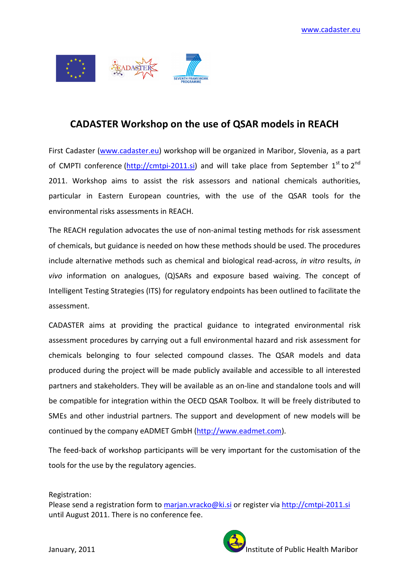

## CADASTER Workshop on the use of QSAR models in REACH

First Cadaster (www.cadaster.eu) workshop will be organized in Maribor, Slovenia, as a part of CMPTI conference  $(\frac{http://cmtpi-2011.si})$  and will take place from September 1<sup>st</sup> to 2<sup>nd</sup> 2011. Workshop aims to assist the risk assessors and national chemicals authorities, particular in Eastern European countries, with the use of the QSAR tools for the environmental risks assessments in REACH.

The REACH regulation advocates the use of non-animal testing methods for risk assessment of chemicals, but guidance is needed on how these methods should be used. The procedures include alternative methods such as chemical and biological read-across, in vitro results, in vivo information on analogues, (Q)SARs and exposure based waiving. The concept of Intelligent Testing Strategies (ITS) for regulatory endpoints has been outlined to facilitate the assessment.

CADASTER aims at providing the practical guidance to integrated environmental risk assessment procedures by carrying out a full environmental hazard and risk assessment for chemicals belonging to four selected compound classes. The QSAR models and data produced during the project will be made publicly available and accessible to all interested partners and stakeholders. They will be available as an on-line and standalone tools and will be compatible for integration within the OECD QSAR Toolbox. It will be freely distributed to SMEs and other industrial partners. The support and development of new models will be continued by the company eADMET GmbH (http://www.eadmet.com).

The feed-back of workshop participants will be very important for the customisation of the tools for the use by the regulatory agencies.

Registration:

Please send a registration form to marjan.vracko@ki.si or register via http://cmtpi-2011.si until August 2011. There is no conference fee.

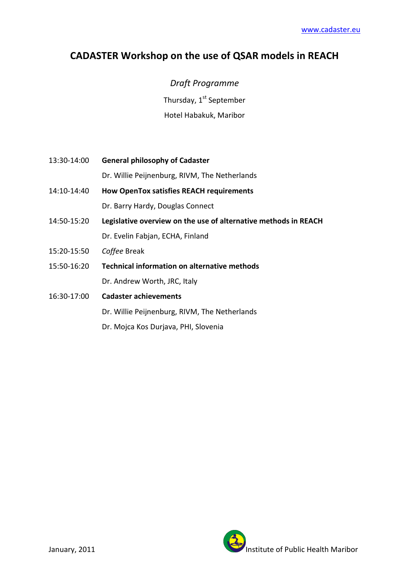## CADASTER Workshop on the use of QSAR models in REACH

Draft Programme Thursday, 1<sup>st</sup> September Hotel Habakuk, Maribor

13:30-14:00 General philosophy of Cadaster

Dr. Willie Peijnenburg, RIVM, The Netherlands

- 14:10-14:40 How OpenTox satisfies REACH requirements Dr. Barry Hardy, Douglas Connect
- 14:50-15:20 Legislative overview on the use of alternative methods in REACH Dr. Evelin Fabjan, ECHA, Finland
- 15:20-15:50 Coffee Break
- 15:50-16:20 Technical information on alternative methods Dr. Andrew Worth, JRC, Italy
- 16:30-17:00 Cadaster achievements

Dr. Willie Peijnenburg, RIVM, The Netherlands

Dr. Mojca Kos Durjava, PHI, Slovenia